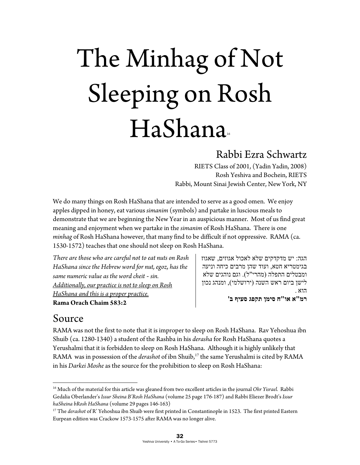# The Minhag of Not Sleeping on Rosh HaShana

#### Rabbi Ezra Schwartz

RIETS Class of 2001, (Yadin Yadin, 2008) Rosh Yeshiva and Bochein, RIETS Rabbi, Mount Sinai Jewish Center, New York, NY

We do many things on Rosh HaShana that are intended to serve as a good omen. We enjoy apples dipped in honey, eat various *simanim* (symbols) and partake in luscious meals to demonstrate that we are beginning the New Year in an auspicious manner. Most of us find great meaning and enjoyment when we partake in the *simanim* of Rosh HaShana. There is one *minhag* of Rosh HaShana however, that many find to be difficult if not oppressive. RAMA (ca. 1530-1572) teaches that one should not sleep on Rosh HaShana.

*There are those who are careful not to eat nuts on Rosh HaShana since the Hebrew word for nut, egoz, has the same numeric value as the word cheit - sin. Additionally, our practice is not to sleep on Rosh HaShana and this is a proper practice.* **Rama Orach Chaim 583:2** 

הגה: יש מדקדקים שלא לאכול אגוזים, שאגוז בגימטריא חטא, ועוד שהן מרבים כיחה וניעה ומבטלים התפלה (מהרי"ל). וגם נוהגים שלא לישן ביום ראש השנה (ירושלמי), ומנהג נכון הוא .

**רמ"א או"ח סימן תקפג סעיף ב'**

### Source

RAMA was not the first to note that it is improper to sleep on Rosh HaShana. Rav Yehoshua ibn Shuib (ca. 1280-1340) a student of the Rashba in his *derasha* for Rosh HaShana quotes a Yerushalmi that it is forbidden to sleep on Rosh HaShana. Although it is highly unlikely that RAMA was in possession of the *derashot* of ibn Shuib,17 the same Yerushalmi is cited by RAMA in his *Darkei Moshe* as the source for the prohibition to sleep on Rosh HaShana:

<sup>16</sup> Much of the material for this article was gleaned from two excellent articles in the journal *Ohr Yisrael.* Rabbi Gedalia Oberlander's *Issur Sheina B'Rosh HaShana* (volume 25 page 176-187) and Rabbi Eliezer Brodt's *Issur haSheina bRosh HaShana* (volume 29 pages 146-163) 17 The *derashot* of R' Yehoshua ibn Shuib were first printed in Constantinople in 1523. The first printed Eastern

Eurpean edition was Crackow 1573-1575 after RAMA was no longer alive.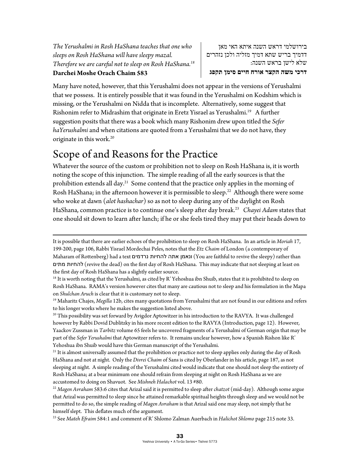*The Yerushalmi in Rosh HaShana teaches that one who sleeps on Rosh HaShana will have sleepy mazal. Therefore we are careful not to sleep on Rosh HaShana.18* **Darchei Moshe Orach Chaim 583** 

בירושלמי דראש השנה איתא האי מאן דדמיך בריש שתא דמיך מזליה ולכן נזהרים שלא לישן בראש השנה: **דרכי משה הקצר אורח חיים סימן תקפג**

Many have noted, however, that this Yerushalmi does not appear in the versions of Yerushalmi that we possess. It is entirely possible that it was found in the Yerushalmi on Kodshim which is missing, or the Yerushalmi on Nidda that is incomplete. Alternatively, some suggest that Rishonim refer to Midrashim that originate in Eretz Yisrael as Yerushalmi.<sup>19</sup> A further suggestion posits that there was a book which many Rishonim drew upon titled the *Sefer haYerushalmi* and when citations are quoted from a Yerushalmi that we do not have, they originate in this work.<sup>20</sup>

## Scope of and Reasons for the Practice

Whatever the source of the custom or prohibition not to sleep on Rosh HaShana is, it is worth noting the scope of this injunction. The simple reading of all the early sources is that the prohibition extends all day.<sup>21</sup> Some contend that the practice only applies in the morning of Rosh HaShana; in the afternoon however it is permissible to sleep.<sup>22</sup> Although there were some who woke at dawn (*alot hashachar*) so as not to sleep during any of the daylight on Rosh HaShana, common practice is to continue one's sleep after day break.23 *Chayei Adam* states that one should sit down to learn after lunch; if he or she feels tired they may put their heads down to

<sup>&</sup>lt;u> 1989 - Jan Samuel Barbara, martxa a shekara tsa 1989 - An tsa 1989 - An tsa 1989 - An tsa 1989 - An tsa 198</u> It is possible that there are earlier echoes of the prohibition to sleep on Rosh HaShana. In an article in *Moriah* 17, 199-200, page 106, Rabbi Yisrael Mordechai Peles, notes that the *Etz Chaim* of London (a contemporary of Maharam of Rottenberg) had a text נרדמים להחיות אתה ונאמן) You are faithful to revive the sleepy) rather than מתים להחיות) revive the dead) on the first day of Rosh HaShana. This may indicate that not sleeping at least on the first day of Rosh HaShana has a slightly earlier source.

 $18$  It is worth noting that the Yerushalmi, as cited by R' Yehoshua ibn Shuib, states that it is prohibited to sleep on Rosh HaShana. RAMA's version however cites that many are cautious not to sleep and his formulation in the Mapa

on *Shulchan Aruch* is clear that it is customary not to sleep. 19 Maharitz Chajes, *Megilla* 12b, cites many quotations from Yerushalmi that are not found in our editions and refers to his longer works where he makes the suggestion listed above.

<sup>&</sup>lt;sup>20</sup> This possibility was set forward by Avigdor Aptowitzer in his introduction to the RAVYA. It was challenged however by Rabbi Dovid Dublitzky in his more recent edition to the RAVYA (Introduction, page 12). However, Yaackov Zussman in *Tarbitz* volume 65 feels he uncovered fragments of a Yerushalmi of German origin that may be part of the *Sefer Yerushalmi* that Aptowitzer refers to. It remains unclear however, how a Spanish Rishon like R'

Yehoshua ibn Shuib would have this German manuscript of the Yerushalmi.<br><sup>21</sup> It is almost universally assumed that the prohibition or practice not to sleep applies only during the day of Rosh HaShana and not at night. Only the *Divrei Chaim* of Sans is cited by Oberlander in his article, page 187, as not sleeping at night. A simple reading of the Yerushalmi cited would indicate that one should not sleep the entirety of Rosh HaShana; at a bear minimum one should refrain from sleeping at night on Rosh HaShana as we are accustomed to doing on Shavuot. See *Mishneh Halachot* vol. 13 #80. 22 *Magen Avraham* 583:6 cites that Arizal said it is permitted to sleep after *chatzot* (mid-day). Although some argue

that Arizal was permitted to sleep since he attained remarkable spiritual heights through sleep and we would not be permitted to do so, the simple reading of *Magen Avraham* is that Arizal said one may sleep, not simply that he himself slept. This deflates much of the argument.

<sup>23</sup> See *Mateh Efraim* 584:1 and comment of R' Shlomo Zalman Auerbach in *Halichot Shlomo* page 215 note 33.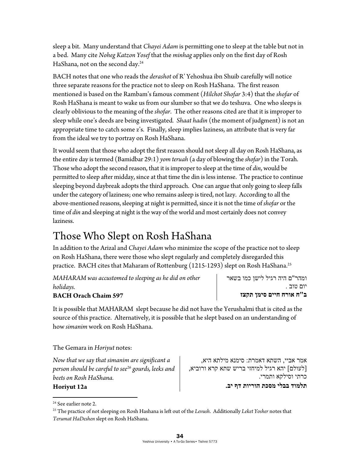sleep a bit. Many understand that *Chayei Adam* is permitting one to sleep at the table but not in a bed. Many cite *Noheg Katzon Yosef* that the *minhag* applies only on the first day of Rosh HaShana, not on the second day.24

BACH notes that one who reads the *derashot* of R' Yehoshua ibn Shuib carefully will notice three separate reasons for the practice not to sleep on Rosh HaShana. The first reason mentioned is based on the Rambam's famous comment (*Hilchot Shofar* 3:4) that the *shofar* of Rosh HaShana is meant to wake us from our slumber so that we do teshuva. One who sleeps is clearly oblivious to the meaning of the *shofar*. The other reasons cited are that it is improper to sleep while one's deeds are being investigated*. Shaat hadin* (the moment of judgment) is not an appropriate time to catch some z's. Finally, sleep implies laziness, an attribute that is very far from the ideal we try to portray on Rosh HaShana.

It would seem that those who adopt the first reason should not sleep all day on Rosh HaShana, as the entire day is termed (Bamidbar 29:1) *yom teruah* (a day of blowing the *shofar*) in the Torah. Those who adopt the second reason, that it is improper to sleep at the time of *din*, would be permitted to sleep after midday, since at that time the din is less intense. The practice to continue sleeping beyond daybreak adopts the third approach. One can argue that only going to sleep falls under the category of laziness; one who remains asleep is tired, not lazy. According to all the above-mentioned reasons, sleeping at night is permitted, since it is not the time of *shofar* or the time of *din* and sleeping at night is the way of the world and most certainly does not convey laziness.

# Those Who Slept on Rosh HaShana

In addition to the Arizal and *Chayei Adam* who minimize the scope of the practice not to sleep on Rosh HaShana, there were those who slept regularly and completely disregarded this practice. BACH cites that Maharam of Rottenburg (1215-1293) slept on Rosh HaShana.<sup>25</sup>

*MAHARAM was accustomed to sleeping as he did on other holidays.*

#### **BACH Orach Chaim 597**

ומהר"ם היה רגיל לישן כמו בשאר יום טוב . **ב"ח אורח חיים סימן תקצז**

It is possible that MAHARAM slept because he did not have the Yerushalmi that is cited as the source of this practice. Alternatively, it is possible that he slept based on an understanding of how *simanim* work on Rosh HaShana.

The Gemara in *Horiyut* notes:

*Now that we say that simanim are significant a person should be careful to see26 gourds, leeks and beets on Rosh HaShana.* 

אמר אביי, השתא דאמרת: סימנא מילתא היא, [לעולם] יהא רגיל למיחזי בריש שתא קרא ורוביא, כרתי וסילקא ותמרי. **תלמוד בבלי מסכת הוריות דף יב.**

**Horiyut 12a** 

 <sup>24</sup> See earlier note 2.

<sup>25</sup> The practice of not sleeping on Rosh Hashana is left out of the *Levush*. Additionally *Leket Yosher* notes that *Terumat HaDeshen* slept on Rosh HaShana.